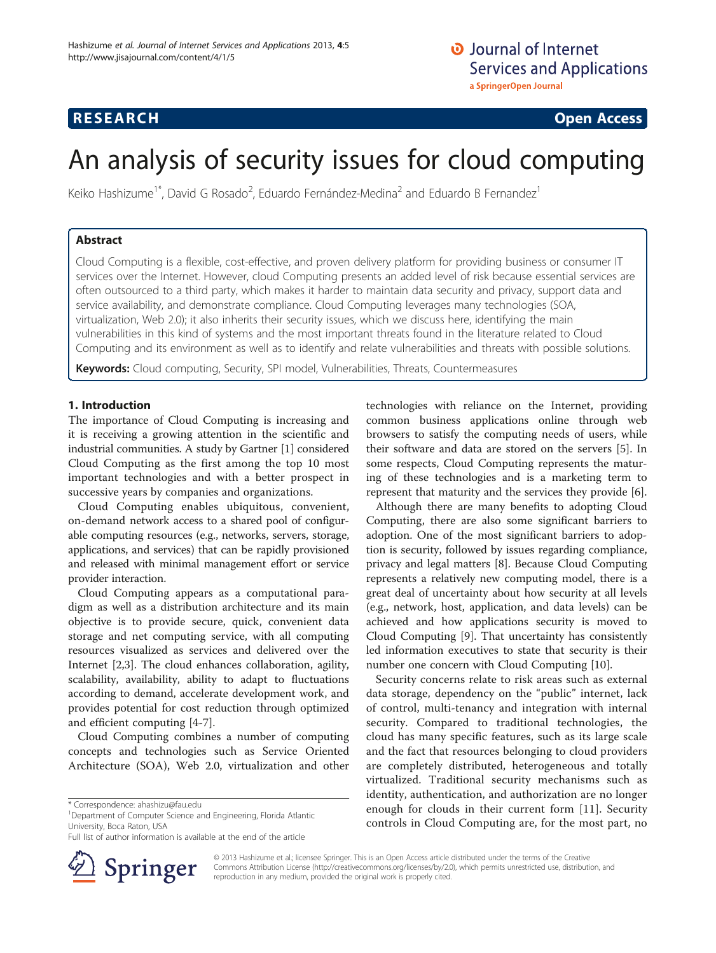## **RESEARCH CHINESE ARCH CHINESE ARCH CHINESE ARCH <b>CHINESE ARCH**

# An analysis of security issues for cloud computing

Keiko Hashizume<sup>1\*</sup>, David G Rosado<sup>2</sup>, Eduardo Fernández-Medina<sup>2</sup> and Eduardo B Fernandez<sup>1</sup>

## Abstract

Cloud Computing is a flexible, cost-effective, and proven delivery platform for providing business or consumer IT services over the Internet. However, cloud Computing presents an added level of risk because essential services are often outsourced to a third party, which makes it harder to maintain data security and privacy, support data and service availability, and demonstrate compliance. Cloud Computing leverages many technologies (SOA, virtualization, Web 2.0); it also inherits their security issues, which we discuss here, identifying the main vulnerabilities in this kind of systems and the most important threats found in the literature related to Cloud Computing and its environment as well as to identify and relate vulnerabilities and threats with possible solutions.

Keywords: Cloud computing, Security, SPI model, Vulnerabilities, Threats, Countermeasures

## 1. Introduction

The importance of Cloud Computing is increasing and it is receiving a growing attention in the scientific and industrial communities. A study by Gartner [[1\]](#page-10-0) considered Cloud Computing as the first among the top 10 most important technologies and with a better prospect in successive years by companies and organizations.

Cloud Computing enables ubiquitous, convenient, on-demand network access to a shared pool of configurable computing resources (e.g., networks, servers, storage, applications, and services) that can be rapidly provisioned and released with minimal management effort or service provider interaction.

Cloud Computing appears as a computational paradigm as well as a distribution architecture and its main objective is to provide secure, quick, convenient data storage and net computing service, with all computing resources visualized as services and delivered over the Internet [\[2,3](#page-10-0)]. The cloud enhances collaboration, agility, scalability, availability, ability to adapt to fluctuations according to demand, accelerate development work, and provides potential for cost reduction through optimized and efficient computing [\[4](#page-10-0)-[7\]](#page-10-0).

Cloud Computing combines a number of computing concepts and technologies such as Service Oriented Architecture (SOA), Web 2.0, virtualization and other

<sup>1</sup>Department of Computer Science and Engineering, Florida Atlantic University, Boca Raton, USA

Full list of author information is available at the end of the article



technologies with reliance on the Internet, providing common business applications online through web browsers to satisfy the computing needs of users, while their software and data are stored on the servers [[5\]](#page-10-0). In some respects, Cloud Computing represents the maturing of these technologies and is a marketing term to represent that maturity and the services they provide [\[6](#page-10-0)].

Although there are many benefits to adopting Cloud Computing, there are also some significant barriers to adoption. One of the most significant barriers to adoption is security, followed by issues regarding compliance, privacy and legal matters [[8\]](#page-10-0). Because Cloud Computing represents a relatively new computing model, there is a great deal of uncertainty about how security at all levels (e.g., network, host, application, and data levels) can be achieved and how applications security is moved to Cloud Computing [\[9](#page-10-0)]. That uncertainty has consistently led information executives to state that security is their number one concern with Cloud Computing [[10](#page-10-0)].

Security concerns relate to risk areas such as external data storage, dependency on the "public" internet, lack of control, multi-tenancy and integration with internal security. Compared to traditional technologies, the cloud has many specific features, such as its large scale and the fact that resources belonging to cloud providers are completely distributed, heterogeneous and totally virtualized. Traditional security mechanisms such as identity, authentication, and authorization are no longer enough for clouds in their current form [\[11](#page-10-0)]. Security controls in Cloud Computing are, for the most part, no

© 2013 Hashizume et al.; licensee Springer. This is an Open Access article distributed under the terms of the Creative Commons Attribution License (<http://creativecommons.org/licenses/by/2.0>), which permits unrestricted use, distribution, and reproduction in any medium, provided the original work is properly cited.

<sup>\*</sup> Correspondence: [ahashizu@fau.edu](mailto:ahashizu@fau.edu) <sup>1</sup>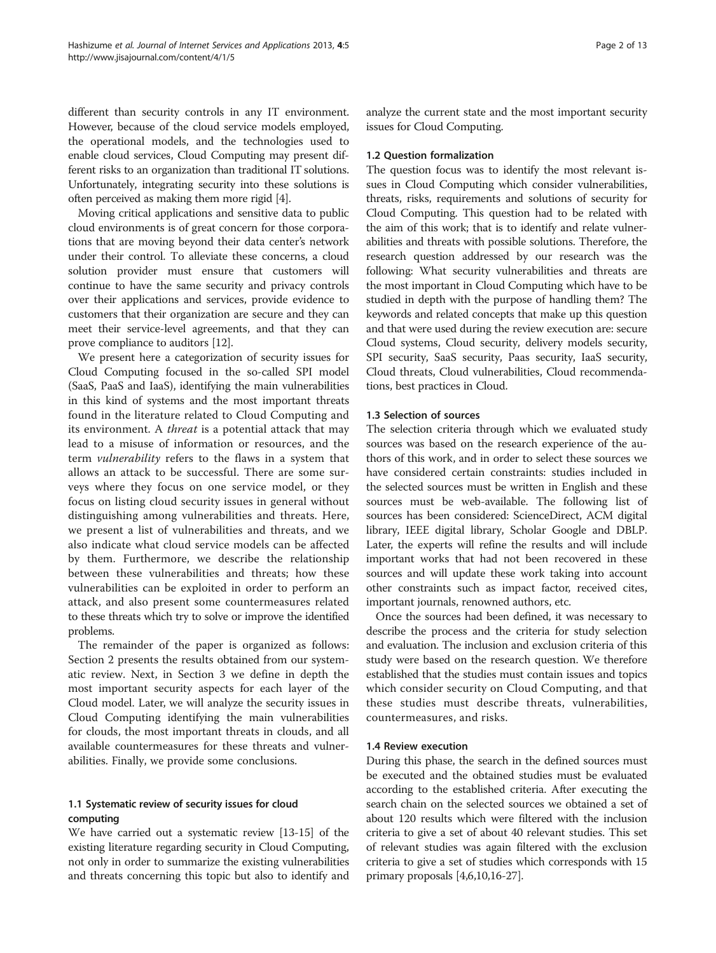different than security controls in any IT environment. However, because of the cloud service models employed, the operational models, and the technologies used to enable cloud services, Cloud Computing may present different risks to an organization than traditional IT solutions. Unfortunately, integrating security into these solutions is often perceived as making them more rigid [\[4](#page-10-0)].

Moving critical applications and sensitive data to public cloud environments is of great concern for those corporations that are moving beyond their data center's network under their control. To alleviate these concerns, a cloud solution provider must ensure that customers will continue to have the same security and privacy controls over their applications and services, provide evidence to customers that their organization are secure and they can meet their service-level agreements, and that they can prove compliance to auditors [\[12\]](#page-10-0).

We present here a categorization of security issues for Cloud Computing focused in the so-called SPI model (SaaS, PaaS and IaaS), identifying the main vulnerabilities in this kind of systems and the most important threats found in the literature related to Cloud Computing and its environment. A threat is a potential attack that may lead to a misuse of information or resources, and the term vulnerability refers to the flaws in a system that allows an attack to be successful. There are some surveys where they focus on one service model, or they focus on listing cloud security issues in general without distinguishing among vulnerabilities and threats. Here, we present a list of vulnerabilities and threats, and we also indicate what cloud service models can be affected by them. Furthermore, we describe the relationship between these vulnerabilities and threats; how these vulnerabilities can be exploited in order to perform an attack, and also present some countermeasures related to these threats which try to solve or improve the identified problems.

The remainder of the paper is organized as follows: Section 2 presents the results obtained from our systematic review. Next, in Section 3 we define in depth the most important security aspects for each layer of the Cloud model. Later, we will analyze the security issues in Cloud Computing identifying the main vulnerabilities for clouds, the most important threats in clouds, and all available countermeasures for these threats and vulnerabilities. Finally, we provide some conclusions.

## 1.1 Systematic review of security issues for cloud computing

We have carried out a systematic review [\[13](#page-10-0)-[15](#page-10-0)] of the existing literature regarding security in Cloud Computing, not only in order to summarize the existing vulnerabilities and threats concerning this topic but also to identify and

analyze the current state and the most important security issues for Cloud Computing.

## 1.2 Question formalization

The question focus was to identify the most relevant issues in Cloud Computing which consider vulnerabilities, threats, risks, requirements and solutions of security for Cloud Computing. This question had to be related with the aim of this work; that is to identify and relate vulnerabilities and threats with possible solutions. Therefore, the research question addressed by our research was the following: What security vulnerabilities and threats are the most important in Cloud Computing which have to be studied in depth with the purpose of handling them? The keywords and related concepts that make up this question and that were used during the review execution are: secure Cloud systems, Cloud security, delivery models security, SPI security, SaaS security, Paas security, IaaS security, Cloud threats, Cloud vulnerabilities, Cloud recommendations, best practices in Cloud.

## 1.3 Selection of sources

The selection criteria through which we evaluated study sources was based on the research experience of the authors of this work, and in order to select these sources we have considered certain constraints: studies included in the selected sources must be written in English and these sources must be web-available. The following list of sources has been considered: ScienceDirect, ACM digital library, IEEE digital library, Scholar Google and DBLP. Later, the experts will refine the results and will include important works that had not been recovered in these sources and will update these work taking into account other constraints such as impact factor, received cites, important journals, renowned authors, etc.

Once the sources had been defined, it was necessary to describe the process and the criteria for study selection and evaluation. The inclusion and exclusion criteria of this study were based on the research question. We therefore established that the studies must contain issues and topics which consider security on Cloud Computing, and that these studies must describe threats, vulnerabilities, countermeasures, and risks.

#### 1.4 Review execution

During this phase, the search in the defined sources must be executed and the obtained studies must be evaluated according to the established criteria. After executing the search chain on the selected sources we obtained a set of about 120 results which were filtered with the inclusion criteria to give a set of about 40 relevant studies. This set of relevant studies was again filtered with the exclusion criteria to give a set of studies which corresponds with 15 primary proposals [\[4,6,10,16-27\]](#page-10-0).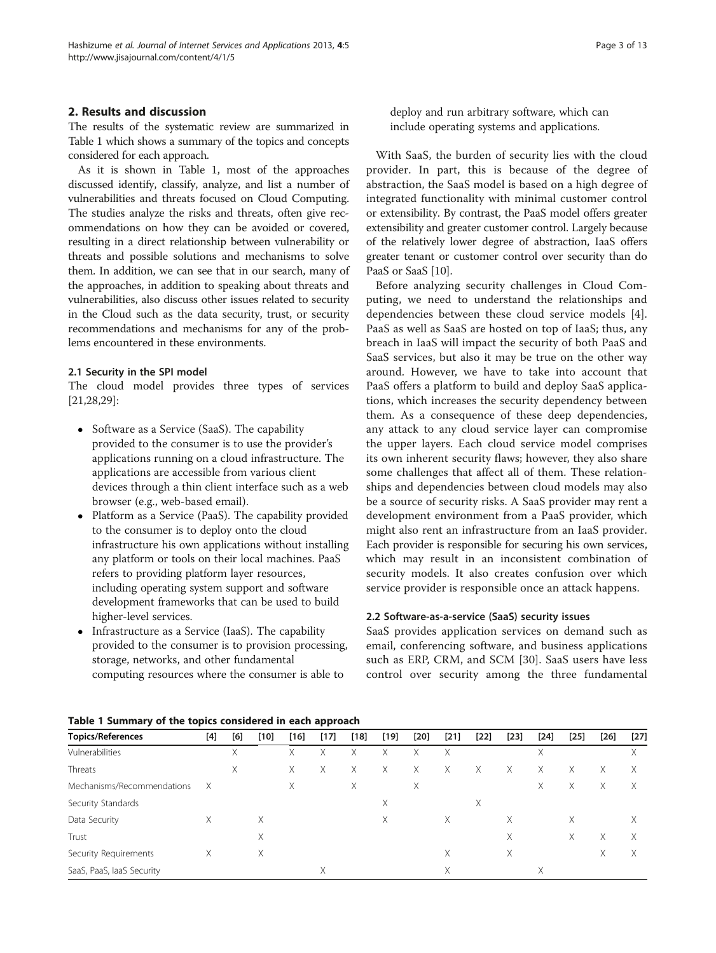#### 2. Results and discussion

The results of the systematic review are summarized in Table 1 which shows a summary of the topics and concepts considered for each approach.

As it is shown in Table 1, most of the approaches discussed identify, classify, analyze, and list a number of vulnerabilities and threats focused on Cloud Computing. The studies analyze the risks and threats, often give recommendations on how they can be avoided or covered, resulting in a direct relationship between vulnerability or threats and possible solutions and mechanisms to solve them. In addition, we can see that in our search, many of the approaches, in addition to speaking about threats and vulnerabilities, also discuss other issues related to security in the Cloud such as the data security, trust, or security recommendations and mechanisms for any of the problems encountered in these environments.

#### 2.1 Security in the SPI model

The cloud model provides three types of services [[21,28,29\]](#page-10-0):

- Software as a Service (SaaS). The capability provided to the consumer is to use the provider's applications running on a cloud infrastructure. The applications are accessible from various client devices through a thin client interface such as a web browser (e.g., web-based email).
- Platform as a Service (PaaS). The capability provided to the consumer is to deploy onto the cloud infrastructure his own applications without installing any platform or tools on their local machines. PaaS refers to providing platform layer resources, including operating system support and software development frameworks that can be used to build higher-level services.
- Infrastructure as a Service (IaaS). The capability provided to the consumer is to provision processing, storage, networks, and other fundamental computing resources where the consumer is able to

deploy and run arbitrary software, which can include operating systems and applications.

With SaaS, the burden of security lies with the cloud provider. In part, this is because of the degree of abstraction, the SaaS model is based on a high degree of integrated functionality with minimal customer control or extensibility. By contrast, the PaaS model offers greater extensibility and greater customer control. Largely because of the relatively lower degree of abstraction, IaaS offers greater tenant or customer control over security than do PaaS or SaaS [[10](#page-10-0)].

Before analyzing security challenges in Cloud Computing, we need to understand the relationships and dependencies between these cloud service models [\[4](#page-10-0)]. PaaS as well as SaaS are hosted on top of IaaS; thus, any breach in IaaS will impact the security of both PaaS and SaaS services, but also it may be true on the other way around. However, we have to take into account that PaaS offers a platform to build and deploy SaaS applications, which increases the security dependency between them. As a consequence of these deep dependencies, any attack to any cloud service layer can compromise the upper layers. Each cloud service model comprises its own inherent security flaws; however, they also share some challenges that affect all of them. These relationships and dependencies between cloud models may also be a source of security risks. A SaaS provider may rent a development environment from a PaaS provider, which might also rent an infrastructure from an IaaS provider. Each provider is responsible for securing his own services, which may result in an inconsistent combination of security models. It also creates confusion over which service provider is responsible once an attack happens.

#### 2.2 Software-as-a-service (SaaS) security issues

SaaS provides application services on demand such as email, conferencing software, and business applications such as ERP, CRM, and SCM [\[30](#page-10-0)]. SaaS users have less control over security among the three fundamental

| Table 1 Summary of the topics considered in each approach |  |  |  |
|-----------------------------------------------------------|--|--|--|
|-----------------------------------------------------------|--|--|--|

| $[4]$<br><b>Topics/References</b> |   | [6] | [10] | $[16]$ | [17] | $[18]$ | $[19]$ | $[20]$ | $[21]$ | $[22]$ | $[23]$ | $[24]$ | $[25]$ | $[26]$ | $[27]$ |
|-----------------------------------|---|-----|------|--------|------|--------|--------|--------|--------|--------|--------|--------|--------|--------|--------|
| Vulnerabilities                   |   | Χ   |      | A      | A    | х      | х      | х      | Χ      |        |        | A      |        |        |        |
| Threats                           |   | Χ   |      | X.     | Χ    | Χ      | X.     | X.     | X.     | X      | X.     | х      | X.     | X      | X      |
| Mechanisms/Recommendations        | X |     |      | Χ      |      | Χ      |        | Χ      |        |        |        | Х      | Х      | Х      | Х      |
| Security Standards                |   |     |      |        |      |        | Χ      |        |        | Χ      |        |        |        |        |        |
| Data Security                     | X |     | Χ    |        |      |        | Χ      |        | X      |        | X      |        | Χ      |        | X      |
| Trust                             |   |     | Χ    |        |      |        |        |        |        |        | Χ      |        | Χ      | X      | Χ      |
| Security Requirements             | Χ |     | Χ    |        |      |        |        |        | Χ      |        | Χ      |        |        | Х      | X      |
| SaaS, PaaS, laaS Security         |   |     | Χ    |        |      |        | Χ      |        |        | Χ      |        |        |        |        |        |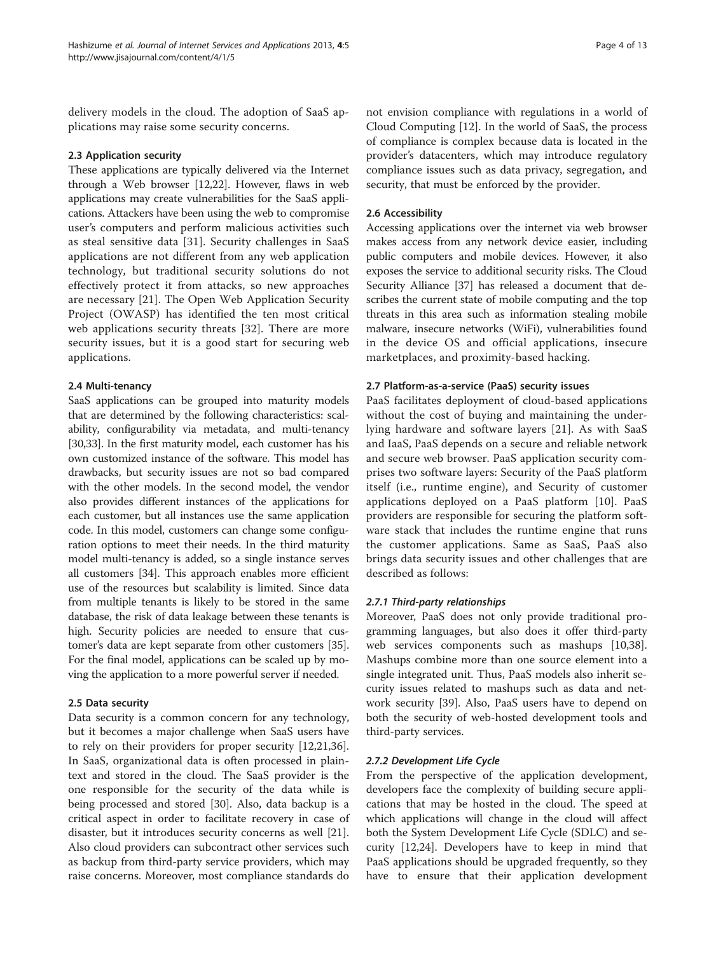delivery models in the cloud. The adoption of SaaS applications may raise some security concerns.

#### 2.3 Application security

These applications are typically delivered via the Internet through a Web browser [\[12,22](#page-10-0)]. However, flaws in web applications may create vulnerabilities for the SaaS applications. Attackers have been using the web to compromise user's computers and perform malicious activities such as steal sensitive data [[31\]](#page-10-0). Security challenges in SaaS applications are not different from any web application technology, but traditional security solutions do not effectively protect it from attacks, so new approaches are necessary [\[21](#page-10-0)]. The Open Web Application Security Project (OWASP) has identified the ten most critical web applications security threats [[32\]](#page-10-0). There are more security issues, but it is a good start for securing web applications.

## 2.4 Multi-tenancy

SaaS applications can be grouped into maturity models that are determined by the following characteristics: scalability, configurability via metadata, and multi-tenancy [[30,33](#page-10-0)]. In the first maturity model, each customer has his own customized instance of the software. This model has drawbacks, but security issues are not so bad compared with the other models. In the second model, the vendor also provides different instances of the applications for each customer, but all instances use the same application code. In this model, customers can change some configuration options to meet their needs. In the third maturity model multi-tenancy is added, so a single instance serves all customers [\[34\]](#page-10-0). This approach enables more efficient use of the resources but scalability is limited. Since data from multiple tenants is likely to be stored in the same database, the risk of data leakage between these tenants is high. Security policies are needed to ensure that customer's data are kept separate from other customers [[35](#page-11-0)]. For the final model, applications can be scaled up by moving the application to a more powerful server if needed.

#### 2.5 Data security

Data security is a common concern for any technology, but it becomes a major challenge when SaaS users have to rely on their providers for proper security [\[12,21](#page-10-0)[,36](#page-11-0)]. In SaaS, organizational data is often processed in plaintext and stored in the cloud. The SaaS provider is the one responsible for the security of the data while is being processed and stored [\[30\]](#page-10-0). Also, data backup is a critical aspect in order to facilitate recovery in case of disaster, but it introduces security concerns as well [\[21](#page-10-0)]. Also cloud providers can subcontract other services such as backup from third-party service providers, which may raise concerns. Moreover, most compliance standards do

not envision compliance with regulations in a world of Cloud Computing [\[12\]](#page-10-0). In the world of SaaS, the process of compliance is complex because data is located in the provider's datacenters, which may introduce regulatory compliance issues such as data privacy, segregation, and security, that must be enforced by the provider.

## 2.6 Accessibility

Accessing applications over the internet via web browser makes access from any network device easier, including public computers and mobile devices. However, it also exposes the service to additional security risks. The Cloud Security Alliance [\[37\]](#page-11-0) has released a document that describes the current state of mobile computing and the top threats in this area such as information stealing mobile malware, insecure networks (WiFi), vulnerabilities found in the device OS and official applications, insecure marketplaces, and proximity-based hacking.

## 2.7 Platform-as-a-service (PaaS) security issues

PaaS facilitates deployment of cloud-based applications without the cost of buying and maintaining the underlying hardware and software layers [[21\]](#page-10-0). As with SaaS and IaaS, PaaS depends on a secure and reliable network and secure web browser. PaaS application security comprises two software layers: Security of the PaaS platform itself (i.e., runtime engine), and Security of customer applications deployed on a PaaS platform [\[10](#page-10-0)]. PaaS providers are responsible for securing the platform software stack that includes the runtime engine that runs the customer applications. Same as SaaS, PaaS also brings data security issues and other challenges that are described as follows:

## 2.7.1 Third-party relationships

Moreover, PaaS does not only provide traditional programming languages, but also does it offer third-party web services components such as mashups [\[10](#page-10-0)[,38](#page-11-0)]. Mashups combine more than one source element into a single integrated unit. Thus, PaaS models also inherit security issues related to mashups such as data and network security [\[39\]](#page-11-0). Also, PaaS users have to depend on both the security of web-hosted development tools and third-party services.

#### 2.7.2 Development Life Cycle

From the perspective of the application development, developers face the complexity of building secure applications that may be hosted in the cloud. The speed at which applications will change in the cloud will affect both the System Development Life Cycle (SDLC) and security [[12,24\]](#page-10-0). Developers have to keep in mind that PaaS applications should be upgraded frequently, so they have to ensure that their application development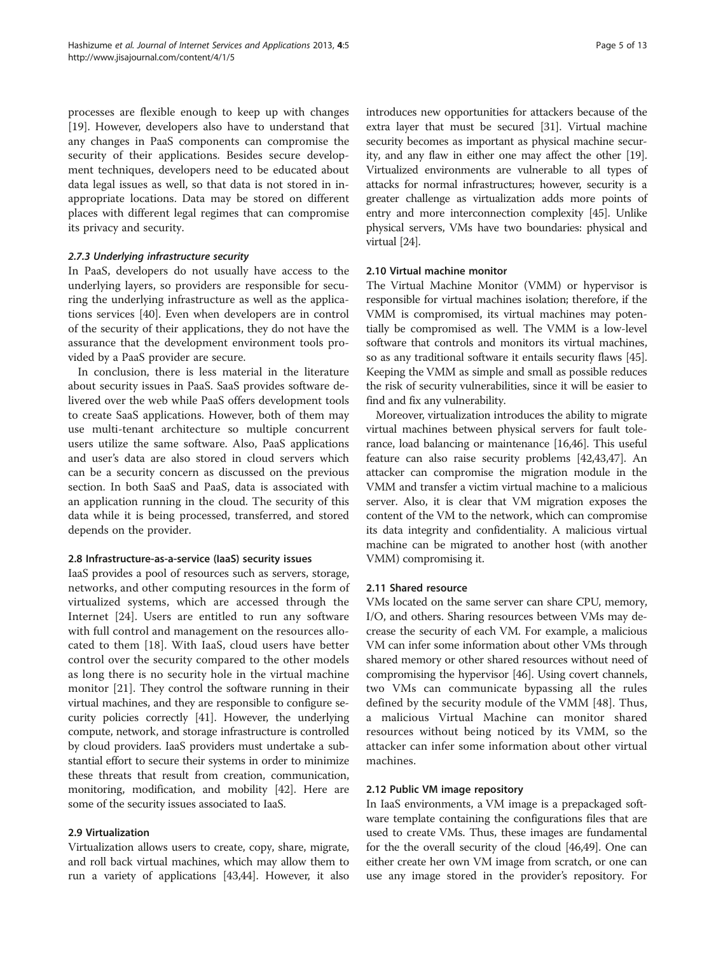processes are flexible enough to keep up with changes [[19\]](#page-10-0). However, developers also have to understand that any changes in PaaS components can compromise the security of their applications. Besides secure development techniques, developers need to be educated about data legal issues as well, so that data is not stored in inappropriate locations. Data may be stored on different places with different legal regimes that can compromise its privacy and security.

## 2.7.3 Underlying infrastructure security

In PaaS, developers do not usually have access to the underlying layers, so providers are responsible for securing the underlying infrastructure as well as the applications services [[40\]](#page-11-0). Even when developers are in control of the security of their applications, they do not have the assurance that the development environment tools provided by a PaaS provider are secure.

In conclusion, there is less material in the literature about security issues in PaaS. SaaS provides software delivered over the web while PaaS offers development tools to create SaaS applications. However, both of them may use multi-tenant architecture so multiple concurrent users utilize the same software. Also, PaaS applications and user's data are also stored in cloud servers which can be a security concern as discussed on the previous section. In both SaaS and PaaS, data is associated with an application running in the cloud. The security of this data while it is being processed, transferred, and stored depends on the provider.

#### 2.8 Infrastructure-as-a-service (IaaS) security issues

IaaS provides a pool of resources such as servers, storage, networks, and other computing resources in the form of virtualized systems, which are accessed through the Internet [[24\]](#page-10-0). Users are entitled to run any software with full control and management on the resources allocated to them [\[18](#page-10-0)]. With IaaS, cloud users have better control over the security compared to the other models as long there is no security hole in the virtual machine monitor [\[21](#page-10-0)]. They control the software running in their virtual machines, and they are responsible to configure security policies correctly [\[41\]](#page-11-0). However, the underlying compute, network, and storage infrastructure is controlled by cloud providers. IaaS providers must undertake a substantial effort to secure their systems in order to minimize these threats that result from creation, communication, monitoring, modification, and mobility [[42](#page-11-0)]. Here are some of the security issues associated to IaaS.

## 2.9 Virtualization

Virtualization allows users to create, copy, share, migrate, and roll back virtual machines, which may allow them to run a variety of applications [[43,44\]](#page-11-0). However, it also introduces new opportunities for attackers because of the extra layer that must be secured [[31](#page-10-0)]. Virtual machine security becomes as important as physical machine security, and any flaw in either one may affect the other [\[19](#page-10-0)]. Virtualized environments are vulnerable to all types of attacks for normal infrastructures; however, security is a greater challenge as virtualization adds more points of entry and more interconnection complexity [\[45\]](#page-11-0). Unlike physical servers, VMs have two boundaries: physical and virtual [[24](#page-10-0)].

#### 2.10 Virtual machine monitor

The Virtual Machine Monitor (VMM) or hypervisor is responsible for virtual machines isolation; therefore, if the VMM is compromised, its virtual machines may potentially be compromised as well. The VMM is a low-level software that controls and monitors its virtual machines, so as any traditional software it entails security flaws [[45](#page-11-0)]. Keeping the VMM as simple and small as possible reduces the risk of security vulnerabilities, since it will be easier to find and fix any vulnerability.

Moreover, virtualization introduces the ability to migrate virtual machines between physical servers for fault tolerance, load balancing or maintenance [[16](#page-10-0)[,46](#page-11-0)]. This useful feature can also raise security problems [\[42,43,47\]](#page-11-0). An attacker can compromise the migration module in the VMM and transfer a victim virtual machine to a malicious server. Also, it is clear that VM migration exposes the content of the VM to the network, which can compromise its data integrity and confidentiality. A malicious virtual machine can be migrated to another host (with another VMM) compromising it.

#### 2.11 Shared resource

VMs located on the same server can share CPU, memory, I/O, and others. Sharing resources between VMs may decrease the security of each VM. For example, a malicious VM can infer some information about other VMs through shared memory or other shared resources without need of compromising the hypervisor [[46](#page-11-0)]. Using covert channels, two VMs can communicate bypassing all the rules defined by the security module of the VMM [\[48](#page-11-0)]. Thus, a malicious Virtual Machine can monitor shared resources without being noticed by its VMM, so the attacker can infer some information about other virtual machines.

#### 2.12 Public VM image repository

In IaaS environments, a VM image is a prepackaged software template containing the configurations files that are used to create VMs. Thus, these images are fundamental for the the overall security of the cloud [[46,49\]](#page-11-0). One can either create her own VM image from scratch, or one can use any image stored in the provider's repository. For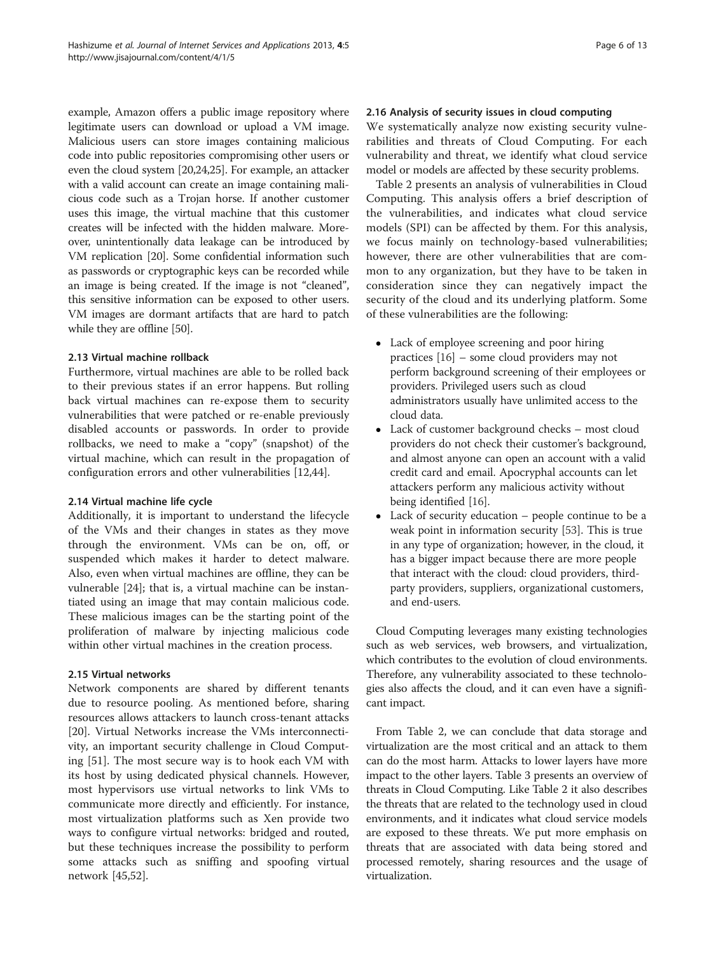example, Amazon offers a public image repository where legitimate users can download or upload a VM image. Malicious users can store images containing malicious code into public repositories compromising other users or even the cloud system [\[20,24,25](#page-10-0)]. For example, an attacker with a valid account can create an image containing malicious code such as a Trojan horse. If another customer uses this image, the virtual machine that this customer creates will be infected with the hidden malware. Moreover, unintentionally data leakage can be introduced by VM replication [\[20](#page-10-0)]. Some confidential information such as passwords or cryptographic keys can be recorded while an image is being created. If the image is not "cleaned", this sensitive information can be exposed to other users. VM images are dormant artifacts that are hard to patch while they are offline [[50](#page-11-0)].

## 2.13 Virtual machine rollback

Furthermore, virtual machines are able to be rolled back to their previous states if an error happens. But rolling back virtual machines can re-expose them to security vulnerabilities that were patched or re-enable previously disabled accounts or passwords. In order to provide rollbacks, we need to make a "copy" (snapshot) of the virtual machine, which can result in the propagation of configuration errors and other vulnerabilities [[12](#page-10-0),[44](#page-11-0)].

## 2.14 Virtual machine life cycle

Additionally, it is important to understand the lifecycle of the VMs and their changes in states as they move through the environment. VMs can be on, off, or suspended which makes it harder to detect malware. Also, even when virtual machines are offline, they can be vulnerable [[24](#page-10-0)]; that is, a virtual machine can be instantiated using an image that may contain malicious code. These malicious images can be the starting point of the proliferation of malware by injecting malicious code within other virtual machines in the creation process.

## 2.15 Virtual networks

Network components are shared by different tenants due to resource pooling. As mentioned before, sharing resources allows attackers to launch cross-tenant attacks [[20\]](#page-10-0). Virtual Networks increase the VMs interconnectivity, an important security challenge in Cloud Computing [\[51\]](#page-11-0). The most secure way is to hook each VM with its host by using dedicated physical channels. However, most hypervisors use virtual networks to link VMs to communicate more directly and efficiently. For instance, most virtualization platforms such as Xen provide two ways to configure virtual networks: bridged and routed, but these techniques increase the possibility to perform some attacks such as sniffing and spoofing virtual network [\[45,52](#page-11-0)].

## 2.16 Analysis of security issues in cloud computing

We systematically analyze now existing security vulnerabilities and threats of Cloud Computing. For each vulnerability and threat, we identify what cloud service model or models are affected by these security problems.

Table [2](#page-6-0) presents an analysis of vulnerabilities in Cloud Computing. This analysis offers a brief description of the vulnerabilities, and indicates what cloud service models (SPI) can be affected by them. For this analysis, we focus mainly on technology-based vulnerabilities; however, there are other vulnerabilities that are common to any organization, but they have to be taken in consideration since they can negatively impact the security of the cloud and its underlying platform. Some of these vulnerabilities are the following:

- Lack of employee screening and poor hiring practices [\[16\]](#page-10-0) – some cloud providers may not perform background screening of their employees or providers. Privileged users such as cloud administrators usually have unlimited access to the cloud data.
- Lack of customer background checks most cloud providers do not check their customer's background, and almost anyone can open an account with a valid credit card and email. Apocryphal accounts can let attackers perform any malicious activity without being identified [[16](#page-10-0)].
- Lack of security education people continue to be a weak point in information security [\[53](#page-11-0)]. This is true in any type of organization; however, in the cloud, it has a bigger impact because there are more people that interact with the cloud: cloud providers, thirdparty providers, suppliers, organizational customers, and end-users.

Cloud Computing leverages many existing technologies such as web services, web browsers, and virtualization, which contributes to the evolution of cloud environments. Therefore, any vulnerability associated to these technologies also affects the cloud, and it can even have a significant impact.

From Table [2](#page-6-0), we can conclude that data storage and virtualization are the most critical and an attack to them can do the most harm. Attacks to lower layers have more impact to the other layers. Table [3](#page-7-0) presents an overview of threats in Cloud Computing. Like Table [2](#page-6-0) it also describes the threats that are related to the technology used in cloud environments, and it indicates what cloud service models are exposed to these threats. We put more emphasis on threats that are associated with data being stored and processed remotely, sharing resources and the usage of virtualization.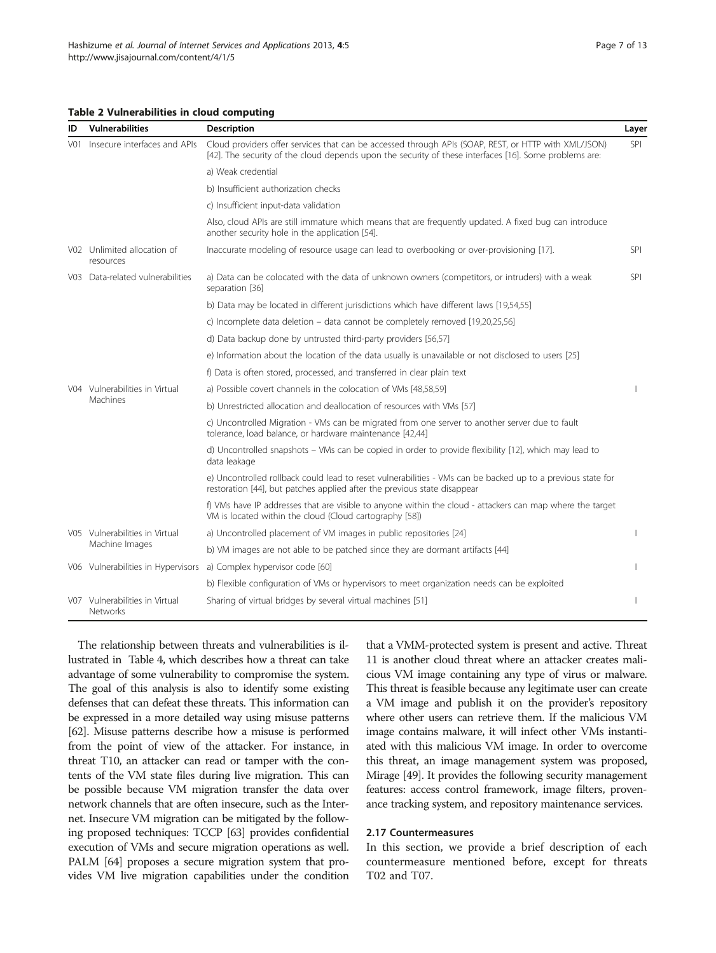#### <span id="page-6-0"></span>Table 2 Vulnerabilities in cloud computing

| ID               | <b>Vulnerabilities</b>                            | <b>Description</b>                                                                                                                                                                                             | Layer      |  |  |  |  |
|------------------|---------------------------------------------------|----------------------------------------------------------------------------------------------------------------------------------------------------------------------------------------------------------------|------------|--|--|--|--|
| V <sub>0</sub> 1 | Insecure interfaces and APIs                      | Cloud providers offer services that can be accessed through APIs (SOAP, REST, or HTTP with XML/JSON)<br>[42]. The security of the cloud depends upon the security of these interfaces [16]. Some problems are: |            |  |  |  |  |
|                  |                                                   | a) Weak credential                                                                                                                                                                                             |            |  |  |  |  |
|                  |                                                   | b) Insufficient authorization checks                                                                                                                                                                           |            |  |  |  |  |
|                  |                                                   | c) Insufficient input-data validation                                                                                                                                                                          |            |  |  |  |  |
|                  |                                                   | Also, cloud APIs are still immature which means that are frequently updated. A fixed bug can introduce<br>another security hole in the application [54].                                                       |            |  |  |  |  |
|                  | V02 Unlimited allocation of<br>resources          | Inaccurate modeling of resource usage can lead to overbooking or over-provisioning [17].                                                                                                                       | <b>SPI</b> |  |  |  |  |
|                  | V03 Data-related vulnerabilities                  | a) Data can be colocated with the data of unknown owners (competitors, or intruders) with a weak<br>separation [36]                                                                                            | <b>SPI</b> |  |  |  |  |
|                  |                                                   | b) Data may be located in different jurisdictions which have different laws [19,54,55]                                                                                                                         |            |  |  |  |  |
|                  |                                                   | c) Incomplete data deletion - data cannot be completely removed [19,20,25,56]                                                                                                                                  |            |  |  |  |  |
|                  |                                                   | d) Data backup done by untrusted third-party providers [56,57]                                                                                                                                                 |            |  |  |  |  |
|                  |                                                   | e) Information about the location of the data usually is unavailable or not disclosed to users [25]                                                                                                            |            |  |  |  |  |
|                  |                                                   | f) Data is often stored, processed, and transferred in clear plain text                                                                                                                                        |            |  |  |  |  |
|                  | V04 Vulnerabilities in Virtual<br>Machines        | a) Possible covert channels in the colocation of VMs [48,58,59]                                                                                                                                                |            |  |  |  |  |
|                  |                                                   | b) Unrestricted allocation and deallocation of resources with VMs [57]                                                                                                                                         |            |  |  |  |  |
|                  |                                                   | c) Uncontrolled Migration - VMs can be migrated from one server to another server due to fault<br>tolerance, load balance, or hardware maintenance [42,44]                                                     |            |  |  |  |  |
|                  |                                                   | d) Uncontrolled snapshots - VMs can be copied in order to provide flexibility [12], which may lead to<br>data leakage                                                                                          |            |  |  |  |  |
|                  |                                                   | e) Uncontrolled rollback could lead to reset vulnerabilities - VMs can be backed up to a previous state for<br>restoration [44], but patches applied after the previous state disappear                        |            |  |  |  |  |
|                  |                                                   | f) VMs have IP addresses that are visible to anyone within the cloud - attackers can map where the target<br>VM is located within the cloud (Cloud cartography [58])                                           |            |  |  |  |  |
|                  | V05 Vulnerabilities in Virtual<br>Machine Images  | a) Uncontrolled placement of VM images in public repositories [24]                                                                                                                                             |            |  |  |  |  |
|                  |                                                   | b) VM images are not able to be patched since they are dormant artifacts [44]                                                                                                                                  |            |  |  |  |  |
|                  | V06 Vulnerabilities in Hypervisors                | a) Complex hypervisor code [60]                                                                                                                                                                                |            |  |  |  |  |
|                  |                                                   | b) Flexible configuration of VMs or hypervisors to meet organization needs can be exploited                                                                                                                    |            |  |  |  |  |
|                  | V07 Vulnerabilities in Virtual<br><b>Networks</b> | Sharing of virtual bridges by several virtual machines [51]                                                                                                                                                    |            |  |  |  |  |

The relationship between threats and vulnerabilities is illustrated in Table [4,](#page-8-0) which describes how a threat can take advantage of some vulnerability to compromise the system. The goal of this analysis is also to identify some existing defenses that can defeat these threats. This information can be expressed in a more detailed way using misuse patterns [[62](#page-11-0)]. Misuse patterns describe how a misuse is performed from the point of view of the attacker. For instance, in threat T10, an attacker can read or tamper with the contents of the VM state files during live migration. This can be possible because VM migration transfer the data over network channels that are often insecure, such as the Internet. Insecure VM migration can be mitigated by the following proposed techniques: TCCP [[63](#page-11-0)] provides confidential execution of VMs and secure migration operations as well. PALM [[64](#page-11-0)] proposes a secure migration system that provides VM live migration capabilities under the condition

that a VMM-protected system is present and active. Threat 11 is another cloud threat where an attacker creates malicious VM image containing any type of virus or malware. This threat is feasible because any legitimate user can create a VM image and publish it on the provider's repository where other users can retrieve them. If the malicious VM image contains malware, it will infect other VMs instantiated with this malicious VM image. In order to overcome this threat, an image management system was proposed, Mirage [\[49\]](#page-11-0). It provides the following security management features: access control framework, image filters, provenance tracking system, and repository maintenance services.

#### 2.17 Countermeasures

In this section, we provide a brief description of each countermeasure mentioned before, except for threats T02 and T07.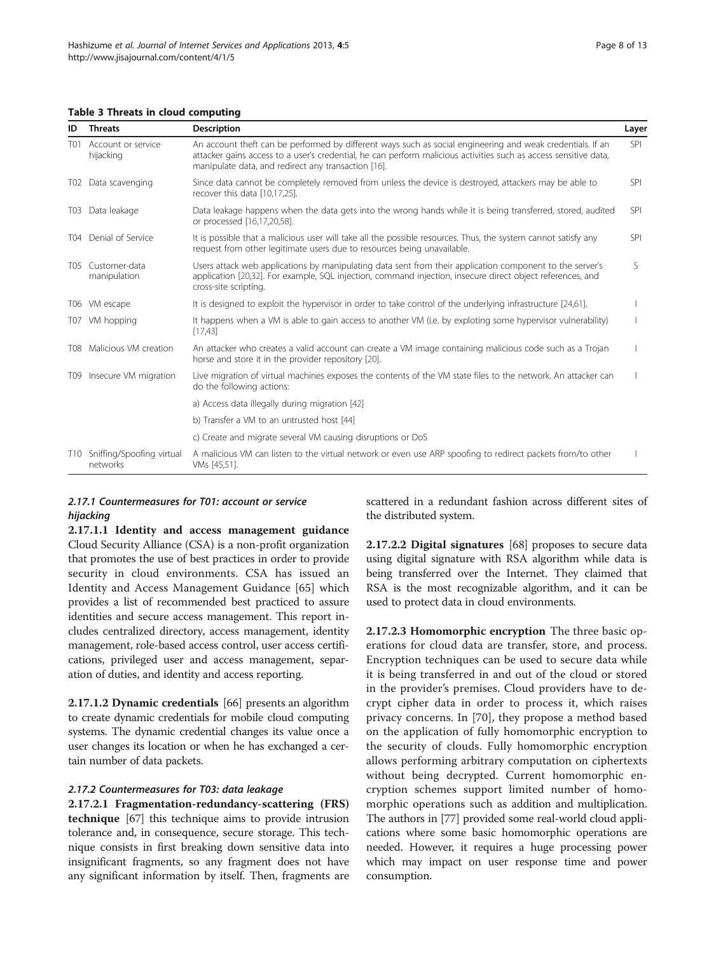<span id="page-7-0"></span>Table 3 Threats in cloud computing

| ID              | <b>Threats</b>                            | <b>Description</b>                                                                                                                                                                                                                                                                    | Layer      |
|-----------------|-------------------------------------------|---------------------------------------------------------------------------------------------------------------------------------------------------------------------------------------------------------------------------------------------------------------------------------------|------------|
| T <sub>01</sub> | Account or service<br>hijacking           | An account theft can be performed by different ways such as social engineering and weak credentials. If an<br>attacker gains access to a user's credential, he can perform malicious activities such as access sensitive data,<br>manipulate data, and redirect any transaction [16]. | <b>SPI</b> |
|                 | T02 Data scavenging                       | Since data cannot be completely removed from unless the device is destroyed, attackers may be able to<br>recover this data [10,17,25].                                                                                                                                                | <b>SPI</b> |
| T03             | Data leakage                              | Data leakage happens when the data gets into the wrong hands while it is being transferred, stored, audited<br>or processed [16,17,20,58].                                                                                                                                            |            |
| T04             | Denial of Service                         | It is possible that a malicious user will take all the possible resources. Thus, the system cannot satisfy any<br>request from other legitimate users due to resources being unavailable.                                                                                             |            |
|                 | T05 Customer-data<br>manipulation         | Users attack web applications by manipulating data sent from their application component to the server's<br>application [20,32]. For example, SQL injection, command injection, insecure direct object references, and<br>cross-site scripting.                                       | S          |
|                 | T06 VM escape                             | It is designed to exploit the hypervisor in order to take control of the underlying infrastructure [24,61].                                                                                                                                                                           |            |
|                 | T07 VM hopping                            | It happens when a VM is able to gain access to another VM (i.e. by exploting some hypervisor vulnerability)<br>[17,43]                                                                                                                                                                |            |
| T08             | Malicious VM creation                     | An attacker who creates a valid account can create a VM image containing malicious code such as a Trojan<br>horse and store it in the provider repository [20].                                                                                                                       |            |
| T09             | Insecure VM migration                     | Live migration of virtual machines exposes the contents of the VM state files to the network. An attacker can<br>do the following actions:                                                                                                                                            |            |
|                 |                                           | a) Access data illegally during migration [42]                                                                                                                                                                                                                                        |            |
|                 |                                           | b) Transfer a VM to an untrusted host [44]                                                                                                                                                                                                                                            |            |
|                 |                                           | c) Create and migrate several VM causing disruptions or DoS                                                                                                                                                                                                                           |            |
|                 | T10 Sniffing/Spoofing virtual<br>networks | A malicious VM can listen to the virtual network or even use ARP spoofing to redirect packets from/to other<br>VMs [45,51].                                                                                                                                                           |            |

## 2.17.1 Countermeasures for T01: account or service hijacking

2.17.1.1 Identity and access management guidance Cloud Security Alliance (CSA) is a non-profit organization that promotes the use of best practices in order to provide security in cloud environments. CSA has issued an Identity and Access Management Guidance [[65\]](#page-11-0) which provides a list of recommended best practiced to assure identities and secure access management. This report includes centralized directory, access management, identity management, role-based access control, user access certifications, privileged user and access management, separation of duties, and identity and access reporting.

2.17.1.2 Dynamic credentials [[66](#page-11-0)] presents an algorithm to create dynamic credentials for mobile cloud computing systems. The dynamic credential changes its value once a user changes its location or when he has exchanged a certain number of data packets.

#### 2.17.2 Countermeasures for T03: data leakage

2.17.2.1 Fragmentation-redundancy-scattering (FRS) technique [[67](#page-11-0)] this technique aims to provide intrusion tolerance and, in consequence, secure storage. This technique consists in first breaking down sensitive data into insignificant fragments, so any fragment does not have any significant information by itself. Then, fragments are

scattered in a redundant fashion across different sites of the distributed system.

2.17.2.2 Digital signatures [[68](#page-11-0)] proposes to secure data using digital signature with RSA algorithm while data is being transferred over the Internet. They claimed that RSA is the most recognizable algorithm, and it can be used to protect data in cloud environments.

2.17.2.3 Homomorphic encryption The three basic operations for cloud data are transfer, store, and process. Encryption techniques can be used to secure data while it is being transferred in and out of the cloud or stored in the provider's premises. Cloud providers have to decrypt cipher data in order to process it, which raises privacy concerns. In [[70](#page-11-0)], they propose a method based on the application of fully homomorphic encryption to the security of clouds. Fully homomorphic encryption allows performing arbitrary computation on ciphertexts without being decrypted. Current homomorphic encryption schemes support limited number of homomorphic operations such as addition and multiplication. The authors in [[77](#page-11-0)] provided some real-world cloud applications where some basic homomorphic operations are needed. However, it requires a huge processing power which may impact on user response time and power consumption.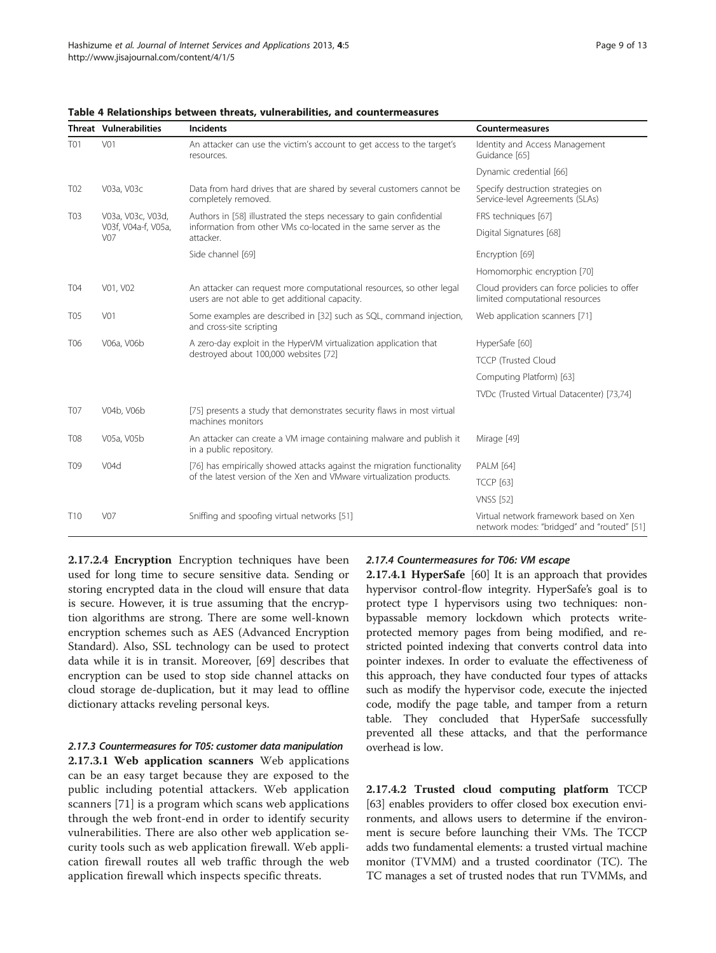|                  | <b>Threat Vulnerabilities</b>                   | <b>Incidents</b>                                                                                                                                     | Countermeasures                                                                      |
|------------------|-------------------------------------------------|------------------------------------------------------------------------------------------------------------------------------------------------------|--------------------------------------------------------------------------------------|
| <b>T01</b>       | V <sub>01</sub>                                 | An attacker can use the victim's account to get access to the target's<br>resources.                                                                 | Identity and Access Management<br>Guidance [65]                                      |
|                  |                                                 |                                                                                                                                                      | Dynamic credential [66]                                                              |
| T <sub>02</sub>  | V03a, V03c                                      | Data from hard drives that are shared by several customers cannot be<br>completely removed.                                                          | Specify destruction strategies on<br>Service-level Agreements (SLAs)                 |
| T <sub>0</sub> 3 | V03a, V03c, V03d,<br>V03f, V04a-f, V05a,<br>V07 | Authors in [58] illustrated the steps necessary to gain confidential<br>information from other VMs co-located in the same server as the<br>attacker. | FRS techniques [67]                                                                  |
|                  |                                                 |                                                                                                                                                      | Digital Signatures [68]                                                              |
|                  |                                                 | Side channel [69]                                                                                                                                    | Encryption [69]                                                                      |
|                  |                                                 |                                                                                                                                                      | Homomorphic encryption [70]                                                          |
| T04              | V01, V02                                        | An attacker can request more computational resources, so other legal<br>users are not able to get additional capacity.                               | Cloud providers can force policies to offer<br>limited computational resources       |
| T <sub>05</sub>  | V <sub>01</sub>                                 | Some examples are described in [32] such as SQL, command injection,<br>and cross-site scripting                                                      | Web application scanners [71]                                                        |
| T <sub>06</sub>  | V06a, V06b                                      | A zero-day exploit in the HyperVM virtualization application that<br>destroyed about 100,000 websites [72]                                           | HyperSafe [60]                                                                       |
|                  |                                                 |                                                                                                                                                      | <b>TCCP (Trusted Cloud</b>                                                           |
|                  |                                                 |                                                                                                                                                      | Computing Platform) [63]                                                             |
|                  |                                                 |                                                                                                                                                      | TVDc (Trusted Virtual Datacenter) [73,74]                                            |
| T07              | V04b, V06b                                      | [75] presents a study that demonstrates security flaws in most virtual<br>machines monitors                                                          |                                                                                      |
| <b>T08</b>       | V05a, V05b                                      | An attacker can create a VM image containing malware and publish it<br>in a public repository.                                                       | Mirage [49]                                                                          |
| T09              | V04d                                            | [76] has empirically showed attacks against the migration functionality<br>of the latest version of the Xen and VMware virtualization products.      | PALM [64]                                                                            |
|                  |                                                 |                                                                                                                                                      | <b>TCCP [63]</b>                                                                     |
|                  |                                                 |                                                                                                                                                      | <b>VNSS [52]</b>                                                                     |
| T <sub>10</sub>  | V <sub>07</sub>                                 | Sniffing and spoofing virtual networks [51]                                                                                                          | Virtual network framework based on Xen<br>network modes: "bridged" and "routed" [51] |

<span id="page-8-0"></span>Table 4 Relationships between threats, vulnerabilities, and countermeasures

2.17.2.4 Encryption Encryption techniques have been used for long time to secure sensitive data. Sending or storing encrypted data in the cloud will ensure that data is secure. However, it is true assuming that the encryption algorithms are strong. There are some well-known encryption schemes such as AES (Advanced Encryption Standard). Also, SSL technology can be used to protect data while it is in transit. Moreover, [\[69](#page-11-0)] describes that encryption can be used to stop side channel attacks on cloud storage de-duplication, but it may lead to offline dictionary attacks reveling personal keys.

#### 2.17.3 Countermeasures for T05: customer data manipulation

2.17.3.1 Web application scanners Web applications can be an easy target because they are exposed to the public including potential attackers. Web application scanners [[71\]](#page-11-0) is a program which scans web applications through the web front-end in order to identify security vulnerabilities. There are also other web application security tools such as web application firewall. Web application firewall routes all web traffic through the web application firewall which inspects specific threats.

#### 2.17.4 Countermeasures for T06: VM escape

2.17.4.1 HyperSafe [[60\]](#page-11-0) It is an approach that provides hypervisor control-flow integrity. HyperSafe's goal is to protect type I hypervisors using two techniques: nonbypassable memory lockdown which protects writeprotected memory pages from being modified, and restricted pointed indexing that converts control data into pointer indexes. In order to evaluate the effectiveness of this approach, they have conducted four types of attacks such as modify the hypervisor code, execute the injected code, modify the page table, and tamper from a return table. They concluded that HyperSafe successfully prevented all these attacks, and that the performance overhead is low.

2.17.4.2 Trusted cloud computing platform TCCP [[63](#page-11-0)] enables providers to offer closed box execution environments, and allows users to determine if the environment is secure before launching their VMs. The TCCP adds two fundamental elements: a trusted virtual machine monitor (TVMM) and a trusted coordinator (TC). The TC manages a set of trusted nodes that run TVMMs, and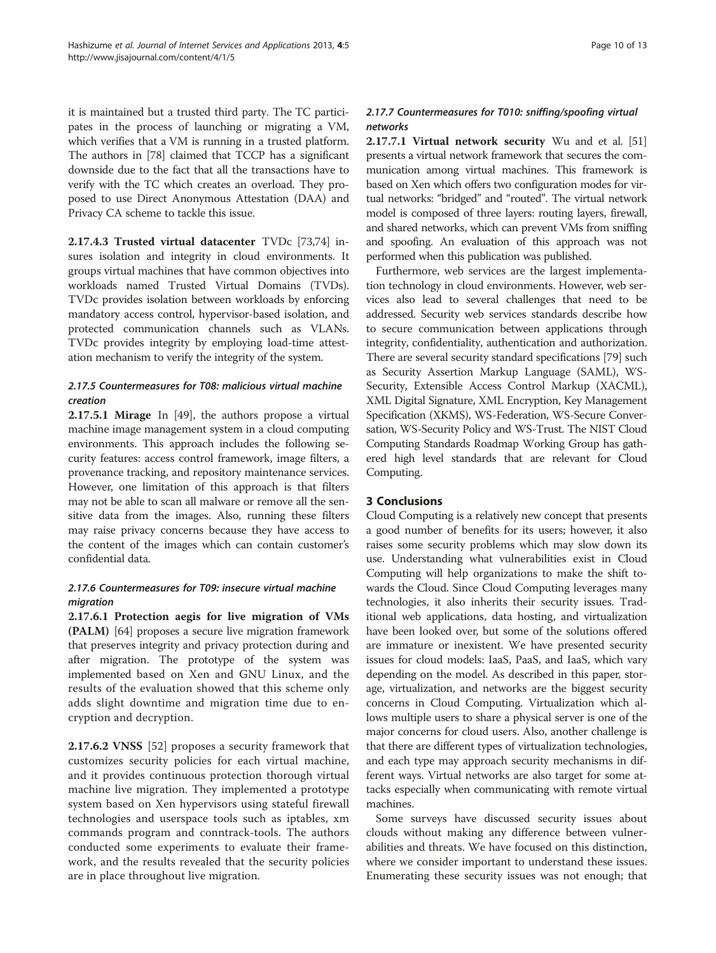it is maintained but a trusted third party. The TC participates in the process of launching or migrating a VM, which verifies that a VM is running in a trusted platform. The authors in [\[78\]](#page-12-0) claimed that TCCP has a significant downside due to the fact that all the transactions have to verify with the TC which creates an overload. They proposed to use Direct Anonymous Attestation (DAA) and Privacy CA scheme to tackle this issue.

2.17.4.3 Trusted virtual datacenter TVDc [\[73,74\]](#page-11-0) insures isolation and integrity in cloud environments. It groups virtual machines that have common objectives into workloads named Trusted Virtual Domains (TVDs). TVDc provides isolation between workloads by enforcing mandatory access control, hypervisor-based isolation, and protected communication channels such as VLANs. TVDc provides integrity by employing load-time attestation mechanism to verify the integrity of the system.

## 2.17.5 Countermeasures for T08: malicious virtual machine creation

2.17.5.1 Mirage In [[49](#page-11-0)], the authors propose a virtual machine image management system in a cloud computing environments. This approach includes the following security features: access control framework, image filters, a provenance tracking, and repository maintenance services. However, one limitation of this approach is that filters may not be able to scan all malware or remove all the sensitive data from the images. Also, running these filters may raise privacy concerns because they have access to the content of the images which can contain customer's confidential data.

## 2.17.6 Countermeasures for T09: insecure virtual machine migration

2.17.6.1 Protection aegis for live migration of VMs (PALM) [\[64\]](#page-11-0) proposes a secure live migration framework that preserves integrity and privacy protection during and after migration. The prototype of the system was implemented based on Xen and GNU Linux, and the results of the evaluation showed that this scheme only adds slight downtime and migration time due to encryption and decryption.

2.17.6.2 VNSS [[52](#page-11-0)] proposes a security framework that customizes security policies for each virtual machine, and it provides continuous protection thorough virtual machine live migration. They implemented a prototype system based on Xen hypervisors using stateful firewall technologies and userspace tools such as iptables, xm commands program and conntrack-tools. The authors conducted some experiments to evaluate their framework, and the results revealed that the security policies are in place throughout live migration.

## 2.17.7 Countermeasures for T010: sniffing/spoofing virtual networks

2.17.7.1 Virtual network security Wu and et al. [\[51](#page-11-0)] presents a virtual network framework that secures the communication among virtual machines. This framework is based on Xen which offers two configuration modes for virtual networks: "bridged" and "routed". The virtual network model is composed of three layers: routing layers, firewall, and shared networks, which can prevent VMs from sniffing and spoofing. An evaluation of this approach was not performed when this publication was published.

Furthermore, web services are the largest implementation technology in cloud environments. However, web services also lead to several challenges that need to be addressed. Security web services standards describe how to secure communication between applications through integrity, confidentiality, authentication and authorization. There are several security standard specifications [[79](#page-12-0)] such as Security Assertion Markup Language (SAML), WS-Security, Extensible Access Control Markup (XACML), XML Digital Signature, XML Encryption, Key Management Specification (XKMS), WS-Federation, WS-Secure Conversation, WS-Security Policy and WS-Trust. The NIST Cloud Computing Standards Roadmap Working Group has gathered high level standards that are relevant for Cloud Computing.

## 3 Conclusions

Cloud Computing is a relatively new concept that presents a good number of benefits for its users; however, it also raises some security problems which may slow down its use. Understanding what vulnerabilities exist in Cloud Computing will help organizations to make the shift towards the Cloud. Since Cloud Computing leverages many technologies, it also inherits their security issues. Traditional web applications, data hosting, and virtualization have been looked over, but some of the solutions offered are immature or inexistent. We have presented security issues for cloud models: IaaS, PaaS, and IaaS, which vary depending on the model. As described in this paper, storage, virtualization, and networks are the biggest security concerns in Cloud Computing. Virtualization which allows multiple users to share a physical server is one of the major concerns for cloud users. Also, another challenge is that there are different types of virtualization technologies, and each type may approach security mechanisms in different ways. Virtual networks are also target for some attacks especially when communicating with remote virtual machines.

Some surveys have discussed security issues about clouds without making any difference between vulnerabilities and threats. We have focused on this distinction, where we consider important to understand these issues. Enumerating these security issues was not enough; that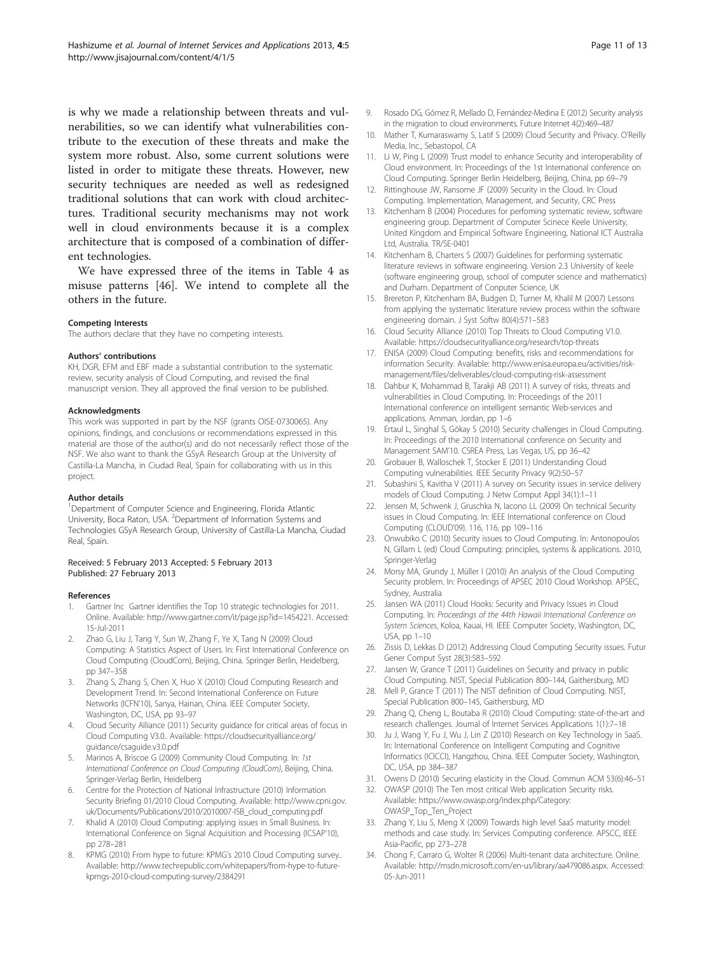<span id="page-10-0"></span>is why we made a relationship between threats and vulnerabilities, so we can identify what vulnerabilities contribute to the execution of these threats and make the system more robust. Also, some current solutions were listed in order to mitigate these threats. However, new security techniques are needed as well as redesigned traditional solutions that can work with cloud architectures. Traditional security mechanisms may not work well in cloud environments because it is a complex architecture that is composed of a combination of different technologies.

We have expressed three of the items in Table [4](#page-8-0) as misuse patterns [[46](#page-11-0)]. We intend to complete all the others in the future.

#### Competing Interests

The authors declare that they have no competing interests.

#### Authors' contributions

KH, DGR, EFM and EBF made a substantial contribution to the systematic review, security analysis of Cloud Computing, and revised the final manuscript version. They all approved the final version to be published.

#### Acknowledgments

This work was supported in part by the NSF (grants OISE-0730065). Any opinions, findings, and conclusions or recommendations expressed in this material are those of the author(s) and do not necessarily reflect those of the NSF. We also want to thank the GSyA Research Group at the University of Castilla-La Mancha, in Ciudad Real, Spain for collaborating with us in this project.

#### Author details

<sup>1</sup>Department of Computer Science and Engineering, Florida Atlantic University, Boca Raton, USA. <sup>2</sup>Department of Information Systems and Technologies GSyA Research Group, University of Castilla-La Mancha, Ciudad Real, Spain.

#### Received: 5 February 2013 Accepted: 5 February 2013 Published: 27 February 2013

#### References

- 1. Gartner Inc Gartner identifies the Top 10 strategic technologies for 2011. Online. Available: http://www.gartner.com/it/page.jsp?id=1454221. Accessed: 15-Jul-2011
- 2. Zhao G, Liu J, Tang Y, Sun W, Zhang F, Ye X, Tang N (2009) Cloud Computing: A Statistics Aspect of Users. In: First International Conference on Cloud Computing (CloudCom), Beijing, China. Springer Berlin, Heidelberg, pp 347–358
- 3. Zhang S, Zhang S, Chen X, Huo X (2010) Cloud Computing Research and Development Trend. In: Second International Conference on Future Networks (ICFN'10), Sanya, Hainan, China. IEEE Computer Society, Washington, DC, USA, pp 93–97
- 4. Cloud Security Alliance (2011) Security guidance for critical areas of focus in Cloud Computing V3.0.. Available: [https://cloudsecurityalliance.org/](https://cloudsecurityalliance.org/guidance/csaguide.v3.0.pdf) [guidance/csaguide.v3.0.pdf](https://cloudsecurityalliance.org/guidance/csaguide.v3.0.pdf)
- Marinos A, Briscoe G (2009) Community Cloud Computing. In: 1st International Conference on Cloud Computing (CloudCom), Beijing, China. Springer-Verlag Berlin, Heidelberg
- 6. Centre for the Protection of National Infrastructure (2010) Information Security Briefing 01/2010 Cloud Computing. Available: [http://www.cpni.gov.](http://www.cpni.gov.uk/Documents/Publications/2010/2010007-ISB_cloud_computing.pdf) [uk/Documents/Publications/2010/2010007-ISB\\_cloud\\_computing.pdf](http://www.cpni.gov.uk/Documents/Publications/2010/2010007-ISB_cloud_computing.pdf)
- Khalid A (2010) Cloud Computing: applying issues in Small Business. In: International Conference on Signal Acquisition and Processing (ICSAP'10), pp 278–281
- 8. KPMG (2010) From hype to future: KPMG's 2010 Cloud Computing survey.. Available: http://www.techrepublic.com/whitepapers/from-hype-to-futurekpmgs-2010-cloud-computing-survey/2384291
- 9. Rosado DG, Gómez R, Mellado D, Fernández-Medina E (2012) Security analysis in the migration to cloud environments. Future Internet 4(2):469–487
- 10. Mather T, Kumaraswamy S, Latif S (2009) Cloud Security and Privacy. O'Reilly Media, Inc., Sebastopol, CA
- 11. Li W, Ping L (2009) Trust model to enhance Security and interoperability of Cloud environment. In: Proceedings of the 1st International conference on Cloud Computing. Springer Berlin Heidelberg, Beijing, China, pp 69–79
- 12. Rittinghouse JW, Ransome JF (2009) Security in the Cloud. In: Cloud Computing. Implementation, Management, and Security, CRC Press
- 13. Kitchenham B (2004) Procedures for perfoming systematic review, software engineering group. Department of Computer Scinece Keele University, United Kingdom and Empirical Software Engineering, National ICT Australia Ltd, Australia. TR/SE-0401
- 14. Kitchenham B, Charters S (2007) Guidelines for performing systematic literature reviews in software engineering. Version 2.3 University of keele (software engineering group, school of computer science and mathematics) and Durham. Department of Conputer Science, UK
- 15. Brereton P, Kitchenham BA, Budgen D, Turner M, Khalil M (2007) Lessons from applying the systematic literature review process within the software engineering domain. J Syst Softw 80(4):571–583
- 16. Cloud Security Alliance (2010) Top Threats to Cloud Computing V1.0. Available: https://cloudsecurityalliance.org/research/top-threats
- 17. ENISA (2009) Cloud Computing: benefits, risks and recommendations for information Security. Available: http://www.enisa.europa.eu/activities/riskmanagement/files/deliverables/cloud-computing-risk-assessment
- 18. Dahbur K, Mohammad B, Tarakji AB (2011) A survey of risks, threats and vulnerabilities in Cloud Computing. In: Proceedings of the 2011 International conference on intelligent semantic Web-services and applications. Amman, Jordan, pp 1–6
- 19. Ertaul L, Singhal S, Gökay S (2010) Security challenges in Cloud Computing. In: Proceedings of the 2010 International conference on Security and Management SAM'10. CSREA Press, Las Vegas, US, pp 36–42
- 20. Grobauer B, Walloschek T, Stocker E (2011) Understanding Cloud Computing vulnerabilities. IEEE Security Privacy 9(2):50–57
- 21. Subashini S, Kavitha V (2011) A survey on Security issues in service delivery models of Cloud Computing. J Netw Comput Appl 34(1):1–11
- 22. Jensen M, Schwenk J, Gruschka N, Iacono LL (2009) On technical Security issues in Cloud Computing. In: IEEE International conference on Cloud Computing (CLOUD'09). 116, 116, pp 109–116
- 23. Onwubiko C (2010) Security issues to Cloud Computing. In: Antonopoulos N, Gillam L (ed) Cloud Computing: principles, systems & applications. 2010, Springer-Verlag
- 24. Morsy MA, Grundy J, Müller I (2010) An analysis of the Cloud Computing Security problem. In: Proceedings of APSEC 2010 Cloud Workshop. APSEC, Sydney, Australia
- 25. Jansen WA (2011) Cloud Hooks: Security and Privacy Issues in Cloud Computing. In: Proceedings of the 44th Hawaii International Conference on System Sciences, Koloa, Kauai, HI. IEEE Computer Society, Washington, DC, USA, pp 1–10
- 26. Zissis D, Lekkas D (2012) Addressing Cloud Computing Security issues. Futur Gener Comput Syst 28(3):583–592
- 27. Jansen W, Grance T (2011) Guidelines on Security and privacy in public Cloud Computing. NIST, Special Publication 800–144, Gaithersburg, MD
- 28. Mell P, Grance T (2011) The NIST definition of Cloud Computing. NIST, Special Publication 800–145, Gaithersburg, MD
- 29. Zhang Q, Cheng L, Boutaba R (2010) Cloud Computing: state-of-the-art and research challenges. Journal of Internet Services Applications 1(1):7–18
- 30. Ju J, Wang Y, Fu J, Wu J, Lin Z (2010) Research on Key Technology in SaaS. In: International Conference on Intelligent Computing and Cognitive Informatics (ICICCI), Hangzhou, China. IEEE Computer Society, Washington, DC, USA, pp 384–387
- 31. Owens D (2010) Securing elasticity in the Cloud. Commun ACM 53(6):46–51
- 32. OWASP (2010) The Ten most critical Web application Security risks. Available: [https://www.owasp.org/index.php/Category:](https://www.owasp.org/index.php/Category:OWASP_Top_Ten_Project) [OWASP\\_Top\\_Ten\\_Project](https://www.owasp.org/index.php/Category:OWASP_Top_Ten_Project)
- 33. Zhang Y, Liu S, Meng X (2009) Towards high level SaaS maturity model: methods and case study. In: Services Computing conference. APSCC, IEEE Asia-Pacific, pp 273–278
- 34. Chong F, Carraro G, Wolter R (2006) Multi-tenant data architecture. Online. Available: http://msdn.microsoft.com/en-us/library/aa479086.aspx. Accessed: 05-Jun-2011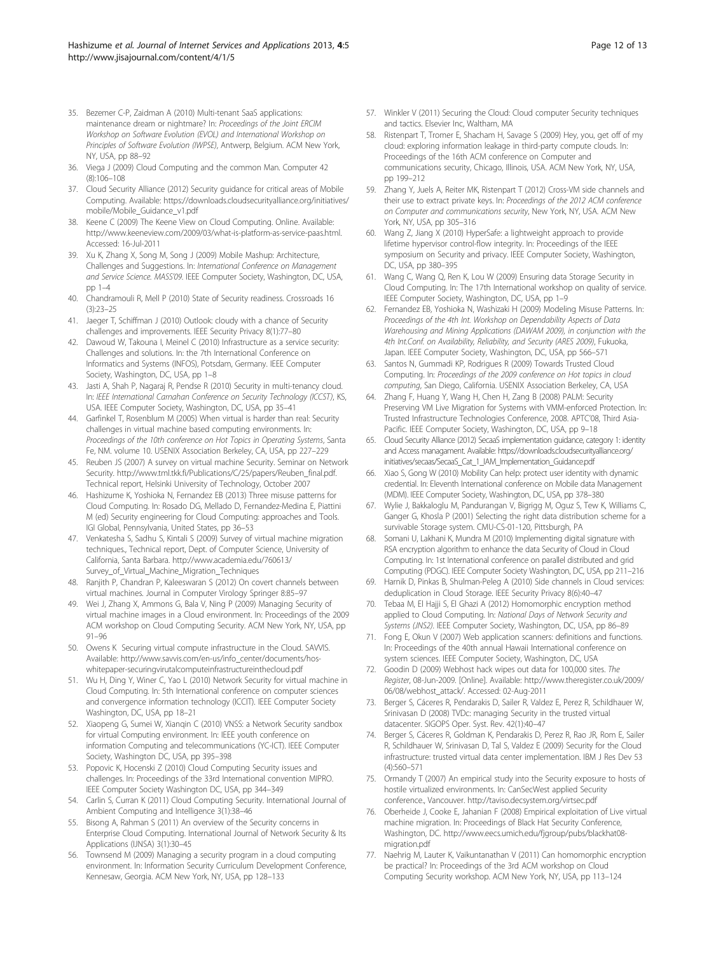- <span id="page-11-0"></span>36. Viega J (2009) Cloud Computing and the common Man. Computer 42 (8):106–108
- 37. Cloud Security Alliance (2012) Security guidance for critical areas of Mobile Computing. Available: [https://downloads.cloudsecurityalliance.org/initiatives/](https://downloads.cloudsecurityalliance.org/initiatives/mobile/Mobile_Guidance_v1.pdf) [mobile/Mobile\\_Guidance\\_v1.pdf](https://downloads.cloudsecurityalliance.org/initiatives/mobile/Mobile_Guidance_v1.pdf)
- 38. Keene C (2009) The Keene View on Cloud Computing. Online. Available: http://www.keeneview.com/2009/03/what-is-platform-as-service-paas.html. Accessed: 16-Jul-2011
- 39. Xu K, Zhang X, Song M, Song J (2009) Mobile Mashup: Architecture, Challenges and Suggestions. In: International Conference on Management and Service Science. MASS'09. IEEE Computer Society, Washington, DC, USA, pp 1–4
- 40. Chandramouli R, Mell P (2010) State of Security readiness. Crossroads 16 (3):23–25
- 41. Jaeger T, Schiffman J (2010) Outlook: cloudy with a chance of Security challenges and improvements. IEEE Security Privacy 8(1):77–80
- 42. Dawoud W, Takouna I, Meinel C (2010) Infrastructure as a service security: Challenges and solutions. In: the 7th International Conference on Informatics and Systems (INFOS), Potsdam, Germany. IEEE Computer Society, Washington, DC, USA, pp 1–8
- 43. Jasti A, Shah P, Nagaraj R, Pendse R (2010) Security in multi-tenancy cloud. In: IEEE International Carnahan Conference on Security Technology (ICCST), KS, USA. IEEE Computer Society, Washington, DC, USA, pp 35–41
- 44. Garfinkel T, Rosenblum M (2005) When virtual is harder than real: Security challenges in virtual machine based computing environments. In: Proceedings of the 10th conference on Hot Topics in Operating Systems, Santa Fe, NM. volume 10. USENIX Association Berkeley, CA, USA, pp 227–229
- 45. Reuben JS (2007) A survey on virtual machine Security. Seminar on Network Security. http://www.tml.tkk.fi/Publications/C/25/papers/Reuben\_final.pdf. Technical report, Helsinki University of Technology, October 2007
- 46. Hashizume K, Yoshioka N, Fernandez EB (2013) Three misuse patterns for Cloud Computing. In: Rosado DG, Mellado D, Fernandez-Medina E, Piattini M (ed) Security engineering for Cloud Computing: approaches and Tools. IGI Global, Pennsylvania, United States, pp 36–53
- 47. Venkatesha S, Sadhu S, Kintali S (2009) Survey of virtual machine migration techniques., Technical report, Dept. of Computer Science, University of California, Santa Barbara. [http://www.academia.edu/760613/](http://www.academia.edu/760613/Survey_of_Virtual_Machine_Migration_Techniques) [Survey\\_of\\_Virtual\\_Machine\\_Migration\\_Techniques](http://www.academia.edu/760613/Survey_of_Virtual_Machine_Migration_Techniques)
- 48. Ranjith P, Chandran P, Kaleeswaran S (2012) On covert channels between virtual machines. Journal in Computer Virology Springer 8:85–97
- 49. Wei J, Zhang X, Ammons G, Bala V, Ning P (2009) Managing Security of virtual machine images in a Cloud environment. In: Proceedings of the 2009 ACM workshop on Cloud Computing Security. ACM New York, NY, USA, pp 91–96
- 50. Owens K Securing virtual compute infrastructure in the Cloud. SAVVIS. Available: http://www.savvis.com/en-us/info\_center/documents/hoswhitepaper-securingvirutalcomputeinfrastructureinthecloud.pdf
- 51. Wu H, Ding Y, Winer C, Yao L (2010) Network Security for virtual machine in Cloud Computing. In: 5th International conference on computer sciences and convergence information technology (ICCIT). IEEE Computer Society Washington, DC, USA, pp 18–21
- 52. Xiaopeng G, Sumei W, Xianqin C (2010) VNSS: a Network Security sandbox for virtual Computing environment. In: IEEE youth conference on information Computing and telecommunications (YC-ICT). IEEE Computer Society, Washington DC, USA, pp 395–398
- 53. Popovic K, Hocenski Z (2010) Cloud Computing Security issues and challenges. In: Proceedings of the 33rd International convention MIPRO. IEEE Computer Society Washington DC, USA, pp 344–349
- 54. Carlin S, Curran K (2011) Cloud Computing Security. International Journal of Ambient Computing and Intelligence 3(1):38–46
- 55. Bisong A, Rahman S (2011) An overview of the Security concerns in Enterprise Cloud Computing. International Journal of Network Security & Its Applications (IJNSA) 3(1):30–45
- 56. Townsend M (2009) Managing a security program in a cloud computing environment. In: Information Security Curriculum Development Conference, Kennesaw, Georgia. ACM New York, NY, USA, pp 128–133
- 57. Winkler V (2011) Securing the Cloud: Cloud computer Security techniques and tactics. Elsevier Inc, Waltham, MA
- 58. Ristenpart T, Tromer E, Shacham H, Savage S (2009) Hey, you, get off of my cloud: exploring information leakage in third-party compute clouds. In: Proceedings of the 16th ACM conference on Computer and communications security, Chicago, Illinois, USA. ACM New York, NY, USA, pp 199–212
- 59. Zhang Y, Juels A, Reiter MK, Ristenpart T (2012) Cross-VM side channels and their use to extract private keys. In: Proceedings of the 2012 ACM conference on Computer and communications security, New York, NY, USA. ACM New York, NY, USA, pp 305–316
- 60. Wang Z, Jiang X (2010) HyperSafe: a lightweight approach to provide lifetime hypervisor control-flow integrity. In: Proceedings of the IEEE symposium on Security and privacy. IEEE Computer Society, Washington, DC, USA, pp 380–395
- 61. Wang C, Wang Q, Ren K, Lou W (2009) Ensuring data Storage Security in Cloud Computing. In: The 17th International workshop on quality of service. IEEE Computer Society, Washington, DC, USA, pp 1–9
- 62. Fernandez EB, Yoshioka N, Washizaki H (2009) Modeling Misuse Patterns. In: Proceedings of the 4th Int. Workshop on Dependability Aspects of Data Warehousing and Mining Applications (DAWAM 2009), in conjunction with the 4th Int.Conf. on Availability, Reliability, and Security (ARES 2009), Fukuoka, Japan. IEEE Computer Society, Washington, DC, USA, pp 566–571
- 63. Santos N, Gummadi KP, Rodrigues R (2009) Towards Trusted Cloud Computing. In: Proceedings of the 2009 conference on Hot topics in cloud computing, San Diego, California. USENIX Association Berkeley, CA, USA
- 64. Zhang F, Huang Y, Wang H, Chen H, Zang B (2008) PALM: Security Preserving VM Live Migration for Systems with VMM-enforced Protection. In: Trusted Infrastructure Technologies Conference, 2008. APTC'08, Third Asia-Pacific. IEEE Computer Society, Washington, DC, USA, pp 9–18
- 65. Cloud Security Alliance (2012) SecaaS implementation guidance, category 1: identity and Access managament. Available: [https://downloads.cloudsecurityalliance.org/](https://downloads.cloudsecurityalliance.org/initiatives/secaas/SecaaS_Cat_1_IAM_Implementation_Guidance.pdf) [initiatives/secaas/SecaaS\\_Cat\\_1\\_IAM\\_Implementation\\_Guidance.pdf](https://downloads.cloudsecurityalliance.org/initiatives/secaas/SecaaS_Cat_1_IAM_Implementation_Guidance.pdf)
- 66. Xiao S, Gong W (2010) Mobility Can help: protect user identity with dynamic credential. In: Eleventh International conference on Mobile data Management (MDM). IEEE Computer Society, Washington, DC, USA, pp 378–380
- 67. Wylie J, Bakkaloglu M, Pandurangan V, Bigrigg M, Oguz S, Tew K, Williams C, Ganger G, Khosla P (2001) Selecting the right data distribution scheme for a survivable Storage system. CMU-CS-01-120, Pittsburgh, PA
- 68. Somani U, Lakhani K, Mundra M (2010) Implementing digital signature with RSA encryption algorithm to enhance the data Security of Cloud in Cloud Computing. In: 1st International conference on parallel distributed and grid Computing (PDGC). IEEE Computer Society Washington, DC, USA, pp 211–216
- 69. Harnik D, Pinkas B, Shulman-Peleg A (2010) Side channels in Cloud services: deduplication in Cloud Storage. IEEE Security Privacy 8(6):40–47
- 70. Tebaa M, El Hajji S, El Ghazi A (2012) Homomorphic encryption method applied to Cloud Computing. In: National Days of Network Security and Systems (JNS2). IEEE Computer Society, Washington, DC, USA, pp 86–89
- 71. Fong E, Okun V (2007) Web application scanners: definitions and functions. In: Proceedings of the 40th annual Hawaii International conference on system sciences. IEEE Computer Society, Washington, DC, USA
- 72. Goodin D (2009) Webhost hack wipes out data for 100,000 sites. The Register, 08-Jun-2009. [Online]. Available: [http://www.theregister.co.uk/2009/](http://www.theregister.co.uk/2009/06/08/webhost_attack/) [06/08/webhost\\_attack/.](http://www.theregister.co.uk/2009/06/08/webhost_attack/) Accessed: 02-Aug-2011
- 73. Berger S, Cáceres R, Pendarakis D, Sailer R, Valdez E, Perez R, Schildhauer W, Srinivasan D (2008) TVDc: managing Security in the trusted virtual datacenter. SIGOPS Oper. Syst. Rev. 42(1):40–47
- 74. Berger S, Cáceres R, Goldman K, Pendarakis D, Perez R, Rao JR, Rom E, Sailer R, Schildhauer W, Srinivasan D, Tal S, Valdez E (2009) Security for the Cloud infrastructure: trusted virtual data center implementation. IBM J Res Dev 53 (4):560–571
- 75. Ormandy T (2007) An empirical study into the Security exposure to hosts of hostile virtualized environments. In: CanSecWest applied Security conference., Vancouver. http://taviso.decsystem.org/virtsec.pdf
- 76. Oberheide J, Cooke E, Jahanian F (2008) Empirical exploitation of Live virtual machine migration. In: Proceedings of Black Hat Security Conference, Washington, DC. http://www.eecs.umich.edu/fjgroup/pubs/blackhat08 migration.pdf
- 77. Naehrig M, Lauter K, Vaikuntanathan V (2011) Can homomorphic encryption be practical? In: Proceedings of the 3rd ACM workshop on Cloud Computing Security workshop. ACM New York, NY, USA, pp 113–124